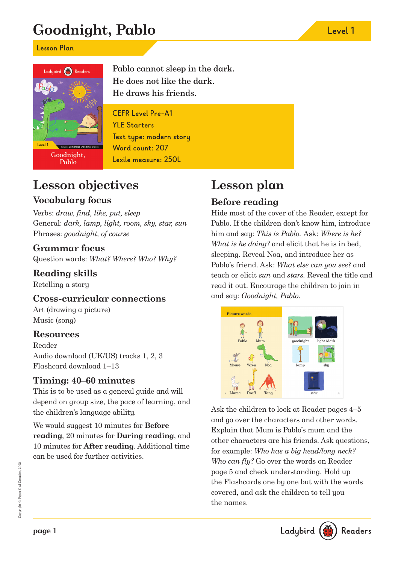# **Goodnight, Pablo Level 1**

**Lesson Plan**



Pablo cannot sleep in the dark. He does not like the dark. He draws his friends.

**CEFR Level Pre-A1 YLE Starters Text type: modern story Word count: 207 Lexile measure: 250L**

# **Lesson objectives**

### **Vocabulary focus**

Verbs: draw, find, like, put, sleep General: dark, lamp, light, room, sky, star, sun Phrases: goodnight, of course

### **Grammar focus**

Question words: What? Where? Who? Why?

### **Reading skills**

Retelling a story

### **Cross-curricular connections**

Art (drawing a picture) Music (song)

### **Resources**

Reader Audio download (UK/US) tracks 1, 2, 3 Flashcard download 1–13

### **Timing: 40–60 minutes**

This is to be used as a general guide and will depend on group size, the pace of learning, and the children's language ability.

We would suggest 10 minutes for **Before reading**, 20 minutes for **During reading**, and 10 minutes for **After reading**. Additional time can be used for further activities.

# **Lesson plan**

## **Before reading**

Hide most of the cover of the Reader, except for Pablo. If the children don't know him, introduce him and say: *This is Pablo.* Ask: *Where is he?* What is he doing? and elicit that he is in bed, sleeping. Reveal Noa, and introduce her as Pablo's friend. Ask: What else can you see? and teach or elicit sun and stars. Reveal the title and read it out. Encourage the children to join in and say: Goodnight, Pablo.



Ask the children to look at Reader pages 4–5 and go over the characters and other words. Explain that Mum is Pablo's mum and the other characters are his friends. Ask questions, for example: Who has a big head/long neck? Who can fly? Go over the words on Reader page 5 and check understanding. Hold up the Flashcards one by one but with the words covered, and ask the children to tell you the names.